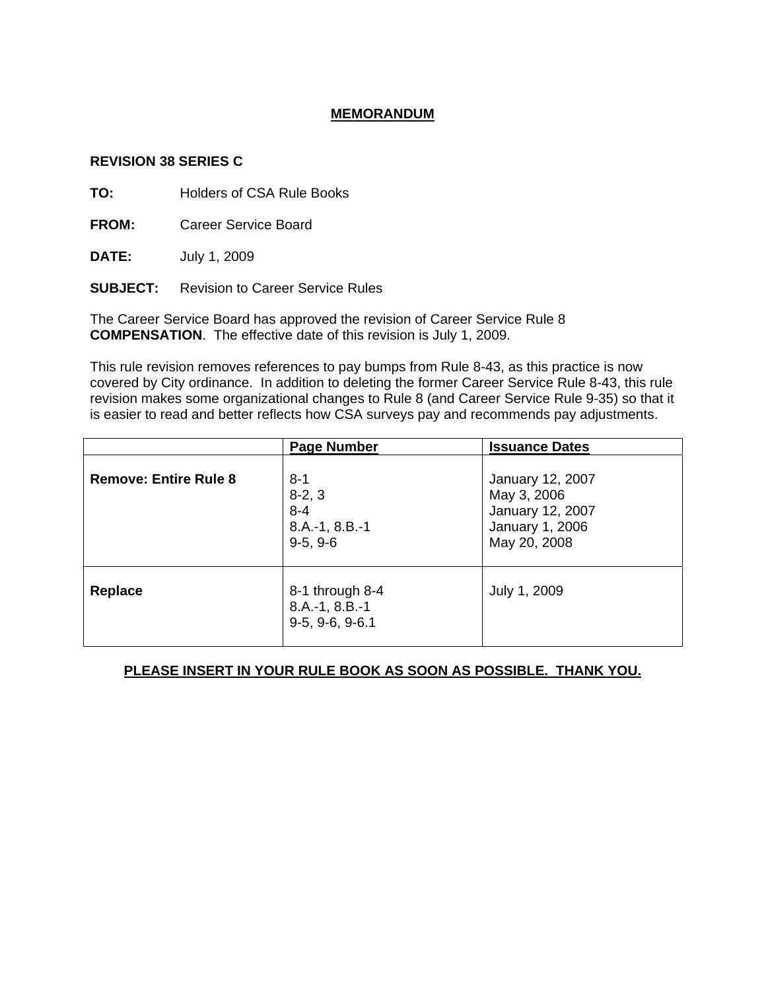### **MEMORANDUM**

#### **REVISION 38 SERIES C**

**TO:** Holders of CSA Rule Books

**FROM:** Career Service Board

**DATE:** July 1, 2009

**SUBJECT:** Revision to Career Service Rules

The Career Service Board has approved the revision of Career Service Rule 8 **COMPENSATION**. The effective date of this revision is July 1, 2009.

This rule revision removes references to pay bumps from Rule 8-43, as this practice is now covered by City ordinance. In addition to deleting the former Career Service Rule 8-43, this rule revision makes some organizational changes to Rule 8 (and Career Service Rule 9-35) so that it is easier to read and better reflects how CSA surveys pay and recommends pay adjustments.

|                              | <b>Page Number</b>                                               | <b>Issuance Dates</b>                                                                  |
|------------------------------|------------------------------------------------------------------|----------------------------------------------------------------------------------------|
| <b>Remove: Entire Rule 8</b> | $8 - 1$<br>$8-2, 3$<br>$8 - 4$<br>$8.A.-1, 8.B.-1$<br>$9-5, 9-6$ | January 12, 2007<br>May 3, 2006<br>January 12, 2007<br>January 1, 2006<br>May 20, 2008 |
| <b>Replace</b>               | 8-1 through 8-4<br>$8.A.-1, 8.B.-1$<br>$9-5, 9-6, 9-6.1$         | July 1, 2009                                                                           |

# **PLEASE INSERT IN YOUR RULE BOOK AS SOON AS POSSIBLE. THANK YOU.**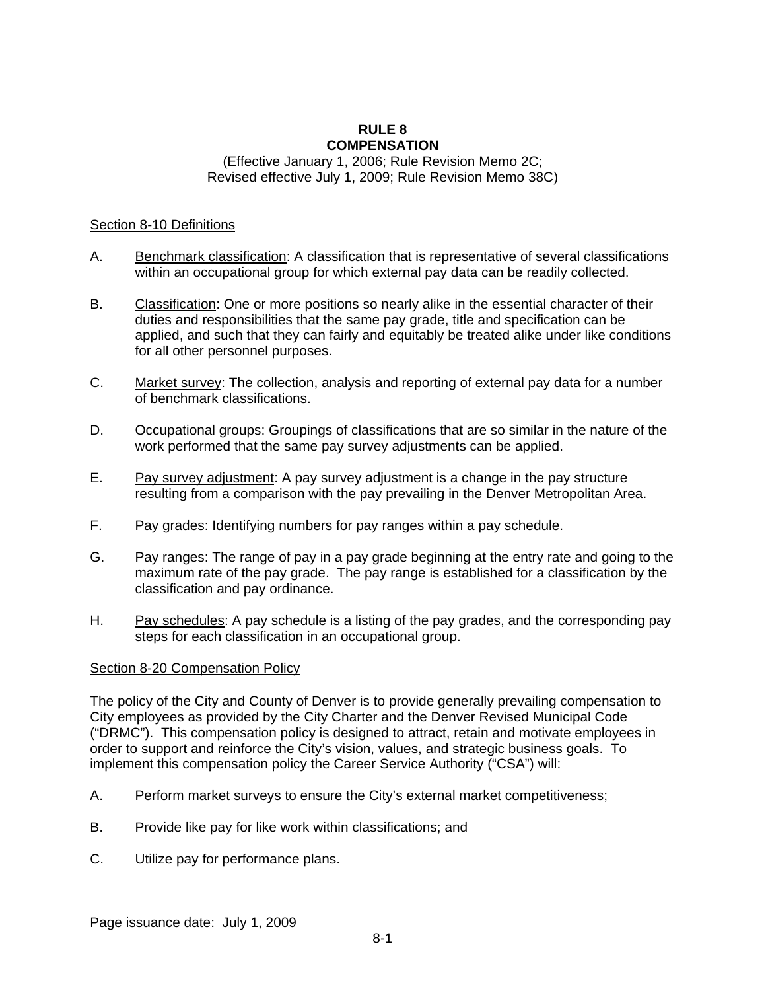#### **RULE 8 COMPENSATION**

#### (Effective January 1, 2006; Rule Revision Memo 2C; Revised effective July 1, 2009; Rule Revision Memo 38C)

#### Section 8-10 Definitions

- A. Benchmark classification: A classification that is representative of several classifications within an occupational group for which external pay data can be readily collected.
- B. Classification: One or more positions so nearly alike in the essential character of their duties and responsibilities that the same pay grade, title and specification can be applied, and such that they can fairly and equitably be treated alike under like conditions for all other personnel purposes.
- C. Market survey: The collection, analysis and reporting of external pay data for a number of benchmark classifications.
- D. Occupational groups: Groupings of classifications that are so similar in the nature of the work performed that the same pay survey adjustments can be applied.
- E. Pay survey adjustment: A pay survey adjustment is a change in the pay structure resulting from a comparison with the pay prevailing in the Denver Metropolitan Area.
- F. Pay grades: Identifying numbers for pay ranges within a pay schedule.
- G. Pay ranges: The range of pay in a pay grade beginning at the entry rate and going to the maximum rate of the pay grade. The pay range is established for a classification by the classification and pay ordinance.
- H. Pay schedules: A pay schedule is a listing of the pay grades, and the corresponding pay steps for each classification in an occupational group.

### Section 8-20 Compensation Policy

The policy of the City and County of Denver is to provide generally prevailing compensation to City employees as provided by the City Charter and the Denver Revised Municipal Code ("DRMC"). This compensation policy is designed to attract, retain and motivate employees in order to support and reinforce the City's vision, values, and strategic business goals. To implement this compensation policy the Career Service Authority ("CSA") will:

- A. Perform market surveys to ensure the City's external market competitiveness;
- B. Provide like pay for like work within classifications; and
- C. Utilize pay for performance plans.

Page issuance date: July 1, 2009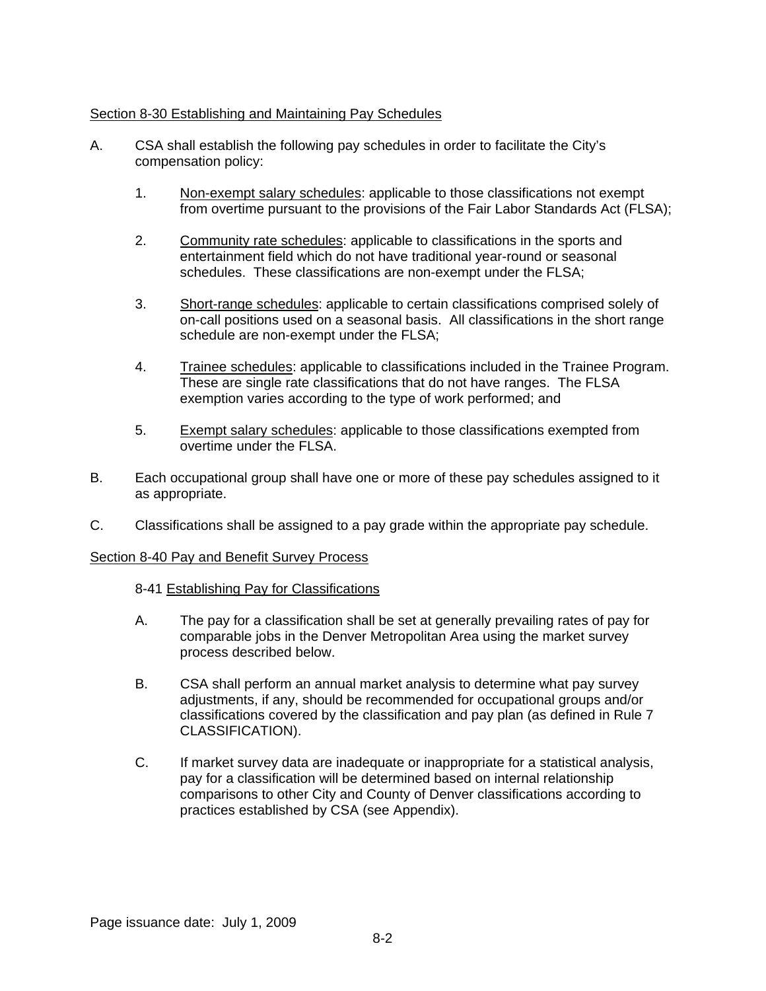### Section 8-30 Establishing and Maintaining Pay Schedules

- A. CSA shall establish the following pay schedules in order to facilitate the City's compensation policy:
	- 1. Non-exempt salary schedules: applicable to those classifications not exempt from overtime pursuant to the provisions of the Fair Labor Standards Act (FLSA);
	- 2. Community rate schedules: applicable to classifications in the sports and entertainment field which do not have traditional year-round or seasonal schedules. These classifications are non-exempt under the FLSA;
	- 3. Short-range schedules: applicable to certain classifications comprised solely of on-call positions used on a seasonal basis. All classifications in the short range schedule are non-exempt under the FLSA;
	- 4. Trainee schedules: applicable to classifications included in the Trainee Program. These are single rate classifications that do not have ranges. The FLSA exemption varies according to the type of work performed; and
	- 5. Exempt salary schedules: applicable to those classifications exempted from overtime under the FLSA.
- B. Each occupational group shall have one or more of these pay schedules assigned to it as appropriate.
- C. Classifications shall be assigned to a pay grade within the appropriate pay schedule.

### Section 8-40 Pay and Benefit Survey Process

- 8-41 Establishing Pay for Classifications
- A. The pay for a classification shall be set at generally prevailing rates of pay for comparable jobs in the Denver Metropolitan Area using the market survey process described below.
- B. CSA shall perform an annual market analysis to determine what pay survey adjustments, if any, should be recommended for occupational groups and/or classifications covered by the classification and pay plan (as defined in Rule 7 CLASSIFICATION).
- C. If market survey data are inadequate or inappropriate for a statistical analysis, pay for a classification will be determined based on internal relationship comparisons to other City and County of Denver classifications according to practices established by CSA (see Appendix).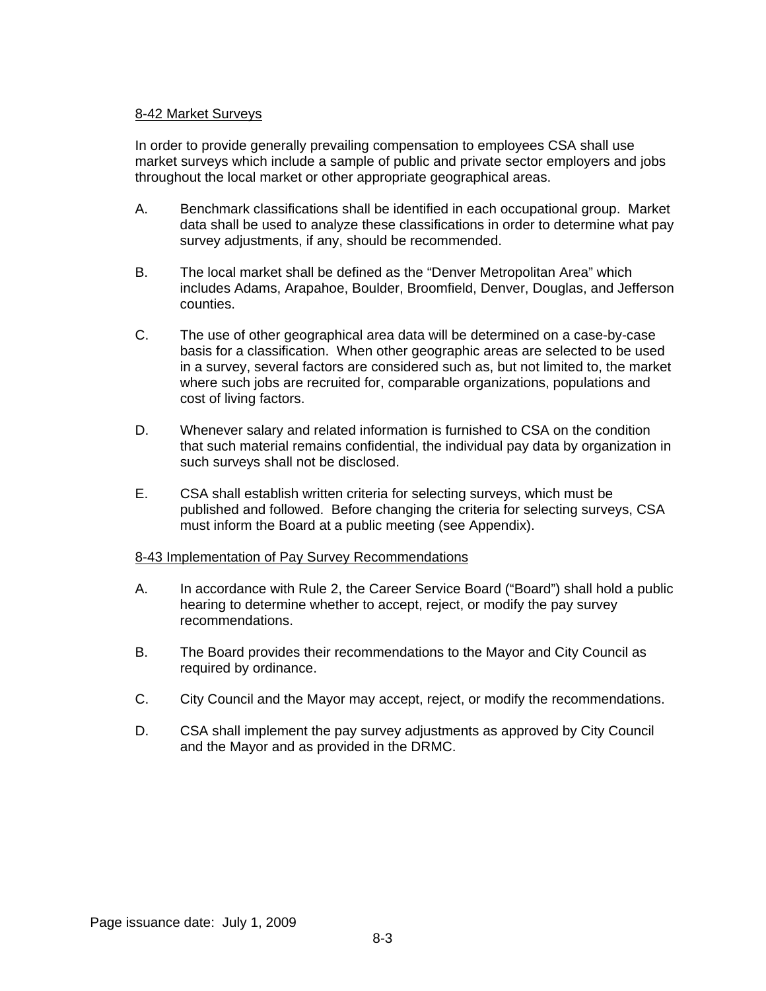### 8-42 Market Surveys

In order to provide generally prevailing compensation to employees CSA shall use market surveys which include a sample of public and private sector employers and jobs throughout the local market or other appropriate geographical areas.

- A. Benchmark classifications shall be identified in each occupational group. Market data shall be used to analyze these classifications in order to determine what pay survey adjustments, if any, should be recommended.
- B. The local market shall be defined as the "Denver Metropolitan Area" which includes Adams, Arapahoe, Boulder, Broomfield, Denver, Douglas, and Jefferson counties.
- C. The use of other geographical area data will be determined on a case-by-case basis for a classification. When other geographic areas are selected to be used in a survey, several factors are considered such as, but not limited to, the market where such jobs are recruited for, comparable organizations, populations and cost of living factors.
- D. Whenever salary and related information is furnished to CSA on the condition that such material remains confidential, the individual pay data by organization in such surveys shall not be disclosed.
- E. CSA shall establish written criteria for selecting surveys, which must be published and followed. Before changing the criteria for selecting surveys, CSA must inform the Board at a public meeting (see Appendix).

#### 8-43 Implementation of Pay Survey Recommendations

- A. In accordance with Rule 2, the Career Service Board ("Board") shall hold a public hearing to determine whether to accept, reject, or modify the pay survey recommendations.
- B. The Board provides their recommendations to the Mayor and City Council as required by ordinance.
- C. City Council and the Mayor may accept, reject, or modify the recommendations.
- D. CSA shall implement the pay survey adjustments as approved by City Council and the Mayor and as provided in the DRMC.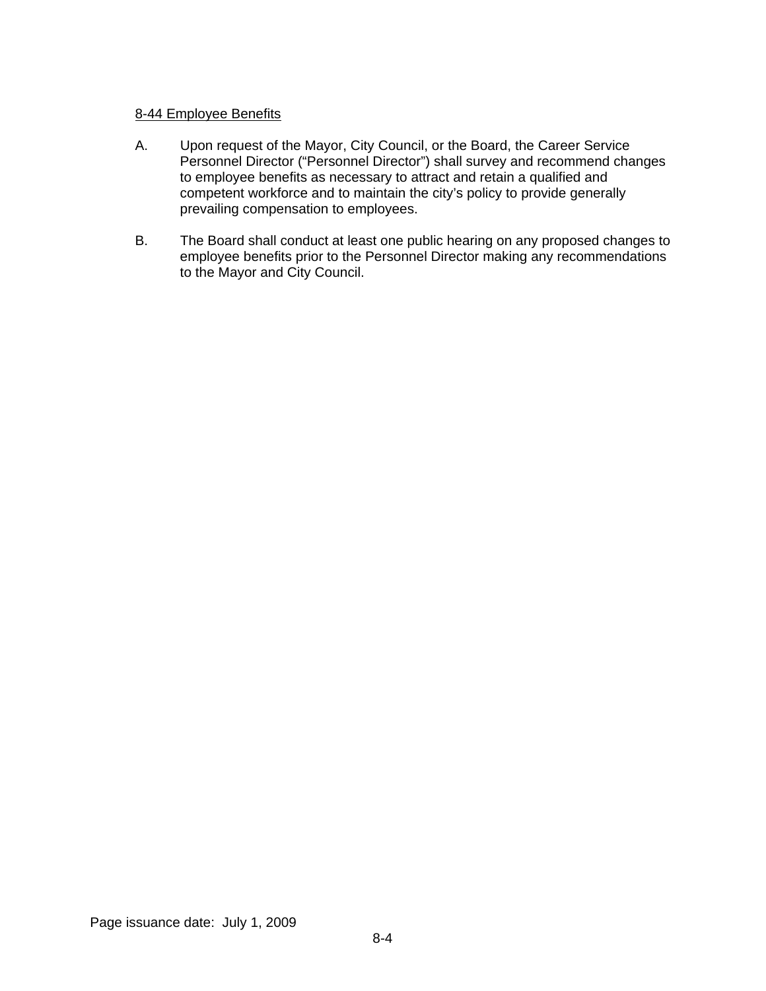### 8-44 Employee Benefits

- A. Upon request of the Mayor, City Council, or the Board, the Career Service Personnel Director ("Personnel Director") shall survey and recommend changes to employee benefits as necessary to attract and retain a qualified and competent workforce and to maintain the city's policy to provide generally prevailing compensation to employees.
- B. The Board shall conduct at least one public hearing on any proposed changes to employee benefits prior to the Personnel Director making any recommendations to the Mayor and City Council.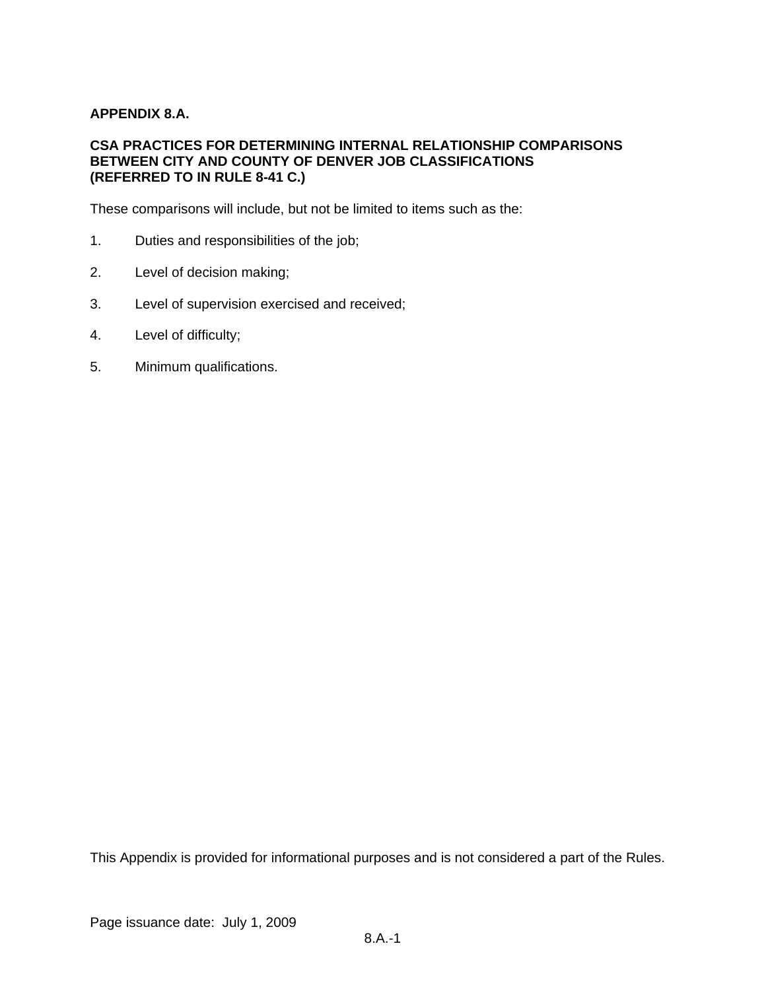### **APPENDIX 8.A.**

#### **CSA PRACTICES FOR DETERMINING INTERNAL RELATIONSHIP COMPARISONS BETWEEN CITY AND COUNTY OF DENVER JOB CLASSIFICATIONS (REFERRED TO IN RULE 8-41 C.)**

These comparisons will include, but not be limited to items such as the:

- 1. Duties and responsibilities of the job;
- 2. Level of decision making;
- 3. Level of supervision exercised and received;
- 4. Level of difficulty;
- 5. Minimum qualifications.

This Appendix is provided for informational purposes and is not considered a part of the Rules.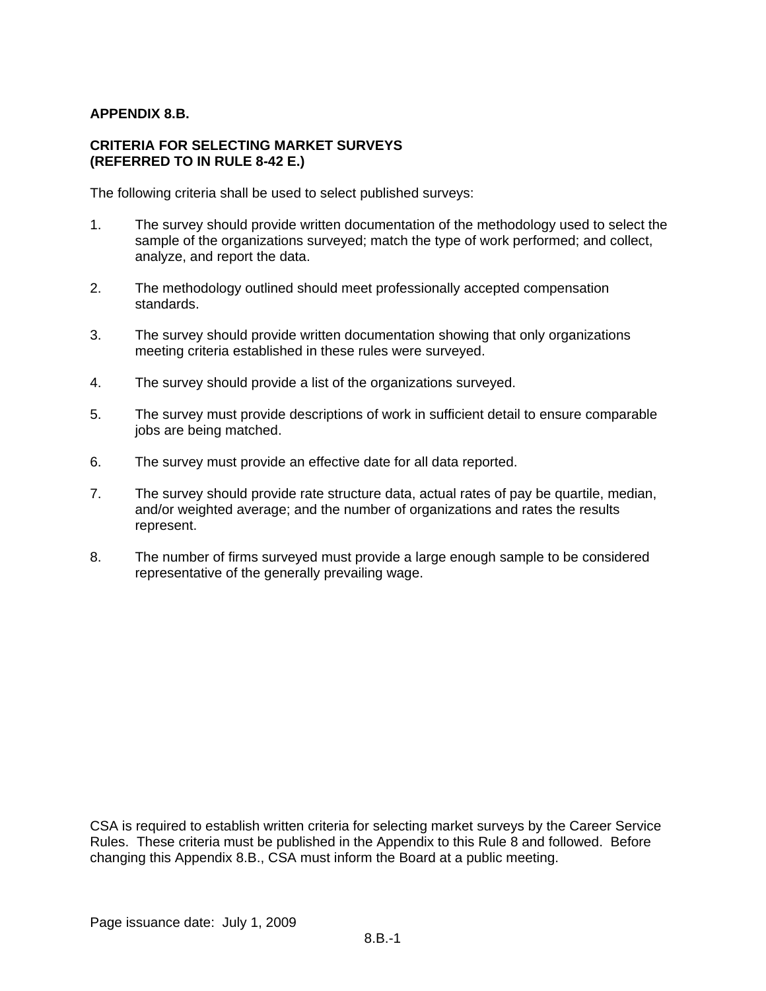### **APPENDIX 8.B.**

#### **CRITERIA FOR SELECTING MARKET SURVEYS (REFERRED TO IN RULE 8-42 E.)**

The following criteria shall be used to select published surveys:

- 1. The survey should provide written documentation of the methodology used to select the sample of the organizations surveyed; match the type of work performed; and collect, analyze, and report the data.
- 2. The methodology outlined should meet professionally accepted compensation standards.
- 3. The survey should provide written documentation showing that only organizations meeting criteria established in these rules were surveved.
- 4. The survey should provide a list of the organizations surveyed.
- 5. The survey must provide descriptions of work in sufficient detail to ensure comparable jobs are being matched.
- 6. The survey must provide an effective date for all data reported.
- 7. The survey should provide rate structure data, actual rates of pay be quartile, median, and/or weighted average; and the number of organizations and rates the results represent.
- 8. The number of firms surveyed must provide a large enough sample to be considered representative of the generally prevailing wage.

CSA is required to establish written criteria for selecting market surveys by the Career Service Rules. These criteria must be published in the Appendix to this Rule 8 and followed. Before changing this Appendix 8.B., CSA must inform the Board at a public meeting.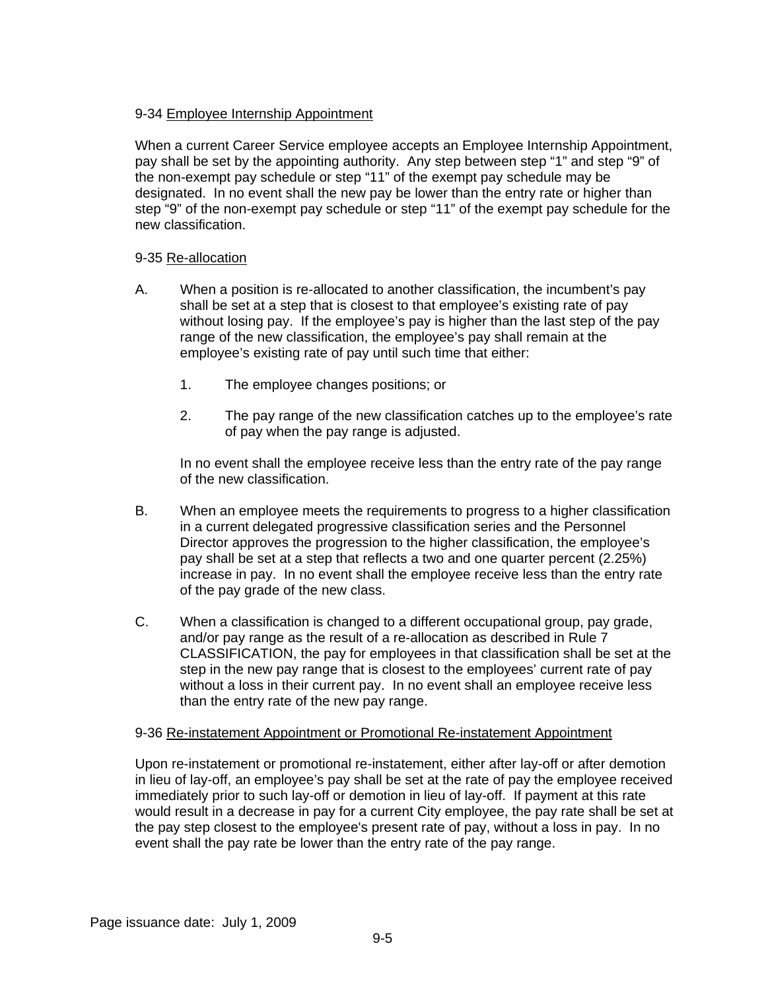# 9-34 Employee Internship Appointment

When a current Career Service employee accepts an Employee Internship Appointment, pay shall be set by the appointing authority. Any step between step "1" and step "9" of the non-exempt pay schedule or step "11" of the exempt pay schedule may be designated. In no event shall the new pay be lower than the entry rate or higher than step "9" of the non-exempt pay schedule or step "11" of the exempt pay schedule for the new classification.

# 9-35 Re-allocation

- A. When a position is re-allocated to another classification, the incumbent's pay shall be set at a step that is closest to that employee's existing rate of pay without losing pay. If the employee's pay is higher than the last step of the pay range of the new classification, the employee's pay shall remain at the employee's existing rate of pay until such time that either:
	- 1. The employee changes positions; or
	- 2. The pay range of the new classification catches up to the employee's rate of pay when the pay range is adjusted.

In no event shall the employee receive less than the entry rate of the pay range of the new classification.

- B. When an employee meets the requirements to progress to a higher classification in a current delegated progressive classification series and the Personnel Director approves the progression to the higher classification, the employee's pay shall be set at a step that reflects a two and one quarter percent (2.25%) increase in pay. In no event shall the employee receive less than the entry rate of the pay grade of the new class.
- C. When a classification is changed to a different occupational group, pay grade, and/or pay range as the result of a re-allocation as described in Rule 7 CLASSIFICATION, the pay for employees in that classification shall be set at the step in the new pay range that is closest to the employees' current rate of pay without a loss in their current pay. In no event shall an employee receive less than the entry rate of the new pay range.

### 9-36 Re-instatement Appointment or Promotional Re-instatement Appointment

Upon re-instatement or promotional re-instatement, either after lay-off or after demotion in lieu of lay-off, an employee's pay shall be set at the rate of pay the employee received immediately prior to such lay-off or demotion in lieu of lay-off. If payment at this rate would result in a decrease in pay for a current City employee, the pay rate shall be set at the pay step closest to the employee's present rate of pay, without a loss in pay. In no event shall the pay rate be lower than the entry rate of the pay range.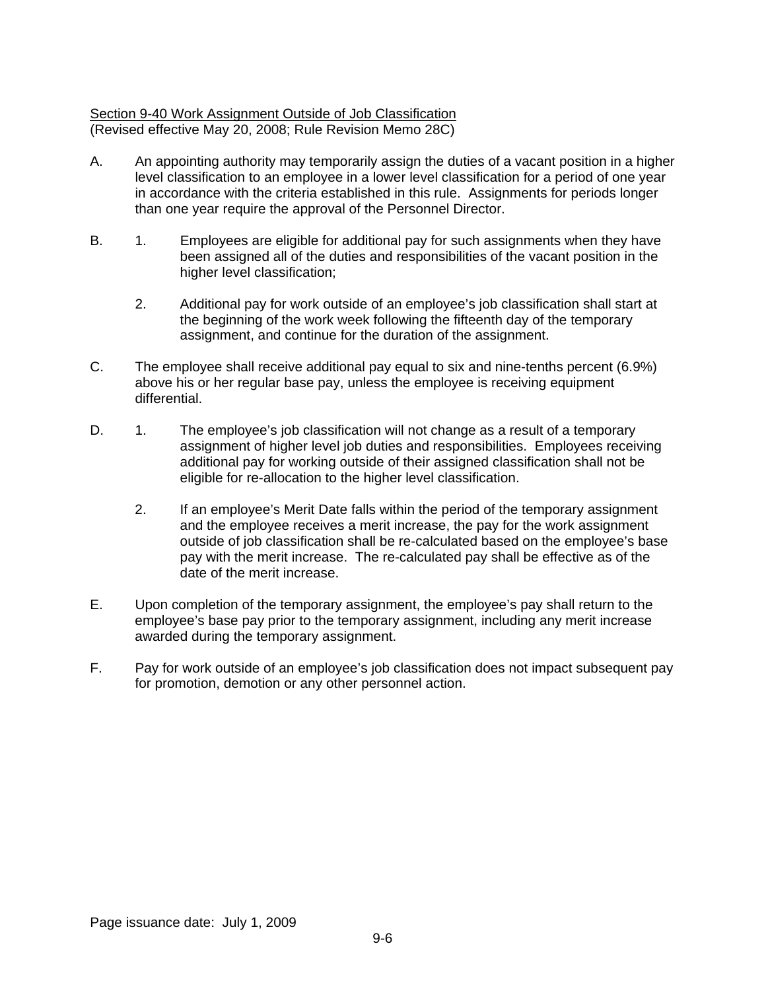### Section 9-40 Work Assignment Outside of Job Classification (Revised effective May 20, 2008; Rule Revision Memo 28C)

- A. An appointing authority may temporarily assign the duties of a vacant position in a higher level classification to an employee in a lower level classification for a period of one year in accordance with the criteria established in this rule. Assignments for periods longer than one year require the approval of the Personnel Director.
- B. 1. Employees are eligible for additional pay for such assignments when they have been assigned all of the duties and responsibilities of the vacant position in the higher level classification;
	- 2. Additional pay for work outside of an employee's job classification shall start at the beginning of the work week following the fifteenth day of the temporary assignment, and continue for the duration of the assignment.
- C. The employee shall receive additional pay equal to six and nine-tenths percent (6.9%) above his or her regular base pay, unless the employee is receiving equipment differential.
- D. 1. The employee's job classification will not change as a result of a temporary assignment of higher level job duties and responsibilities. Employees receiving additional pay for working outside of their assigned classification shall not be eligible for re-allocation to the higher level classification.
	- 2. If an employee's Merit Date falls within the period of the temporary assignment and the employee receives a merit increase, the pay for the work assignment outside of job classification shall be re-calculated based on the employee's base pay with the merit increase. The re-calculated pay shall be effective as of the date of the merit increase.
- E. Upon completion of the temporary assignment, the employee's pay shall return to the employee's base pay prior to the temporary assignment, including any merit increase awarded during the temporary assignment.
- F. Pay for work outside of an employee's job classification does not impact subsequent pay for promotion, demotion or any other personnel action.